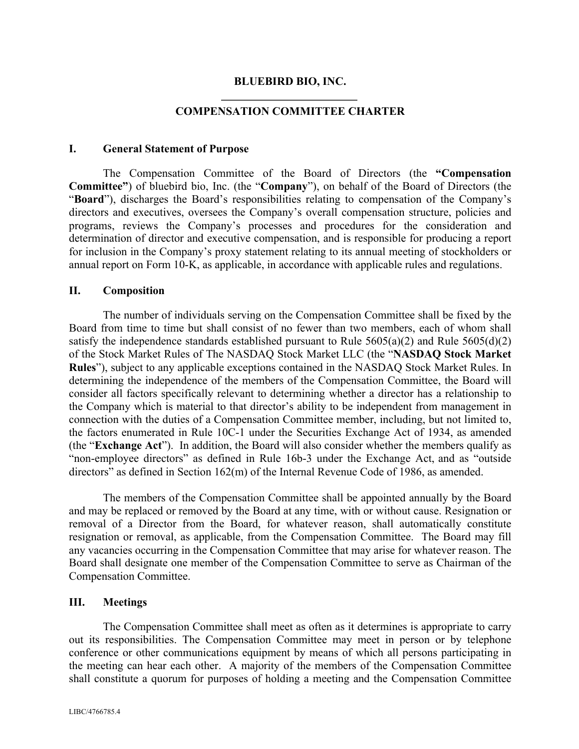#### **BLUEBIRD BIO, INC.**

### **COMPENSATION COMMITTEE CHARTER**

#### **I. General Statement of Purpose**

The Compensation Committee of the Board of Directors (the **"Compensation Committee"**) of bluebird bio, Inc. (the "**Company**"), on behalf of the Board of Directors (the "**Board**"), discharges the Board's responsibilities relating to compensation of the Company's directors and executives, oversees the Company's overall compensation structure, policies and programs, reviews the Company's processes and procedures for the consideration and determination of director and executive compensation, and is responsible for producing a report for inclusion in the Company's proxy statement relating to its annual meeting of stockholders or annual report on Form 10-K, as applicable, in accordance with applicable rules and regulations.

#### **II. Composition**

The number of individuals serving on the Compensation Committee shall be fixed by the Board from time to time but shall consist of no fewer than two members, each of whom shall satisfy the independence standards established pursuant to Rule  $5605(a)(2)$  and Rule  $5605(d)(2)$ of the Stock Market Rules of The NASDAQ Stock Market LLC (the "**NASDAQ Stock Market Rules**"), subject to any applicable exceptions contained in the NASDAQ Stock Market Rules. In determining the independence of the members of the Compensation Committee, the Board will consider all factors specifically relevant to determining whether a director has a relationship to the Company which is material to that director's ability to be independent from management in connection with the duties of a Compensation Committee member, including, but not limited to, the factors enumerated in Rule 10C-1 under the Securities Exchange Act of 1934, as amended (the "**Exchange Act**"). In addition, the Board will also consider whether the members qualify as "non-employee directors" as defined in Rule 16b-3 under the Exchange Act, and as "outside directors" as defined in Section 162(m) of the Internal Revenue Code of 1986, as amended.

The members of the Compensation Committee shall be appointed annually by the Board and may be replaced or removed by the Board at any time, with or without cause. Resignation or removal of a Director from the Board, for whatever reason, shall automatically constitute resignation or removal, as applicable, from the Compensation Committee. The Board may fill any vacancies occurring in the Compensation Committee that may arise for whatever reason. The Board shall designate one member of the Compensation Committee to serve as Chairman of the Compensation Committee.

#### **III. Meetings**

The Compensation Committee shall meet as often as it determines is appropriate to carry out its responsibilities. The Compensation Committee may meet in person or by telephone conference or other communications equipment by means of which all persons participating in the meeting can hear each other. A majority of the members of the Compensation Committee shall constitute a quorum for purposes of holding a meeting and the Compensation Committee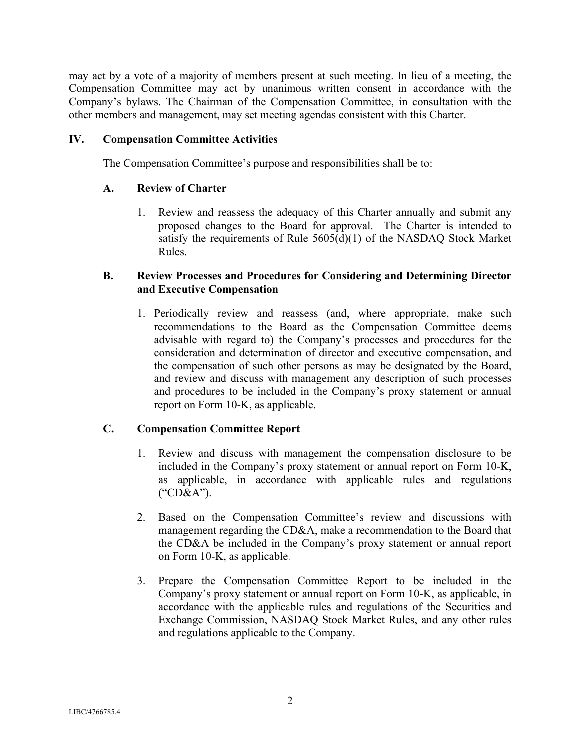may act by a vote of a majority of members present at such meeting. In lieu of a meeting, the Compensation Committee may act by unanimous written consent in accordance with the Company's bylaws. The Chairman of the Compensation Committee, in consultation with the other members and management, may set meeting agendas consistent with this Charter.

## **IV. Compensation Committee Activities**

The Compensation Committee's purpose and responsibilities shall be to:

### **A. Review of Charter**

1. Review and reassess the adequacy of this Charter annually and submit any proposed changes to the Board for approval. The Charter is intended to satisfy the requirements of Rule 5605(d)(1) of the NASDAQ Stock Market Rules.

## **B. Review Processes and Procedures for Considering and Determining Director and Executive Compensation**

1. Periodically review and reassess (and, where appropriate, make such recommendations to the Board as the Compensation Committee deems advisable with regard to) the Company's processes and procedures for the consideration and determination of director and executive compensation, and the compensation of such other persons as may be designated by the Board, and review and discuss with management any description of such processes and procedures to be included in the Company's proxy statement or annual report on Form 10-K, as applicable.

# **C. Compensation Committee Report**

- 1. Review and discuss with management the compensation disclosure to be included in the Company's proxy statement or annual report on Form 10-K, as applicable, in accordance with applicable rules and regulations ("CD&A").
- 2. Based on the Compensation Committee's review and discussions with management regarding the CD&A, make a recommendation to the Board that the CD&A be included in the Company's proxy statement or annual report on Form 10-K, as applicable.
- 3. Prepare the Compensation Committee Report to be included in the Company's proxy statement or annual report on Form 10-K, as applicable, in accordance with the applicable rules and regulations of the Securities and Exchange Commission, NASDAQ Stock Market Rules, and any other rules and regulations applicable to the Company.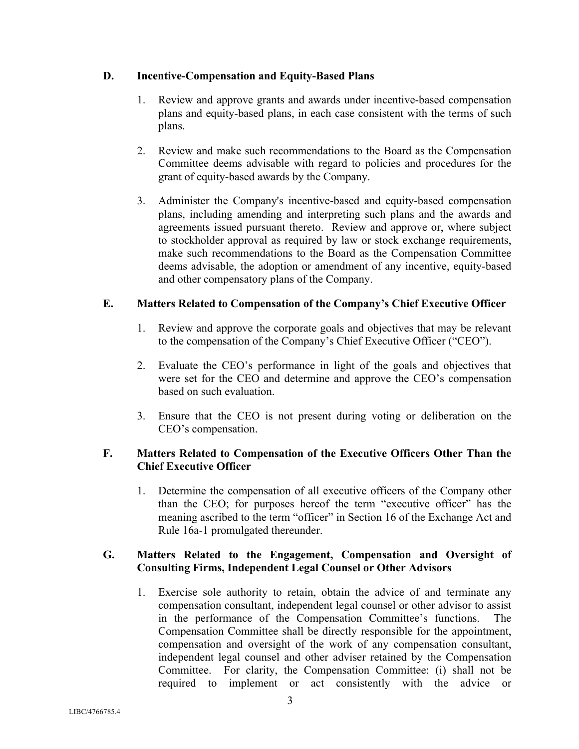# **D. Incentive-Compensation and Equity-Based Plans**

- 1. Review and approve grants and awards under incentive-based compensation plans and equity-based plans, in each case consistent with the terms of such plans.
- 2. Review and make such recommendations to the Board as the Compensation Committee deems advisable with regard to policies and procedures for the grant of equity-based awards by the Company.
- 3. Administer the Company's incentive-based and equity-based compensation plans, including amending and interpreting such plans and the awards and agreements issued pursuant thereto. Review and approve or, where subject to stockholder approval as required by law or stock exchange requirements, make such recommendations to the Board as the Compensation Committee deems advisable, the adoption or amendment of any incentive, equity-based and other compensatory plans of the Company.

# **E. Matters Related to Compensation of the Company's Chief Executive Officer**

- 1. Review and approve the corporate goals and objectives that may be relevant to the compensation of the Company's Chief Executive Officer ("CEO").
- 2. Evaluate the CEO's performance in light of the goals and objectives that were set for the CEO and determine and approve the CEO's compensation based on such evaluation.
- 3. Ensure that the CEO is not present during voting or deliberation on the CEO's compensation.

# **F. Matters Related to Compensation of the Executive Officers Other Than the Chief Executive Officer**

1. Determine the compensation of all executive officers of the Company other than the CEO; for purposes hereof the term "executive officer" has the meaning ascribed to the term "officer" in Section 16 of the Exchange Act and Rule 16a-1 promulgated thereunder.

# **G. Matters Related to the Engagement, Compensation and Oversight of Consulting Firms, Independent Legal Counsel or Other Advisors**

1. Exercise sole authority to retain, obtain the advice of and terminate any compensation consultant, independent legal counsel or other advisor to assist in the performance of the Compensation Committee's functions. The Compensation Committee shall be directly responsible for the appointment, compensation and oversight of the work of any compensation consultant, independent legal counsel and other adviser retained by the Compensation Committee. For clarity, the Compensation Committee: (i) shall not be required to implement or act consistently with the advice or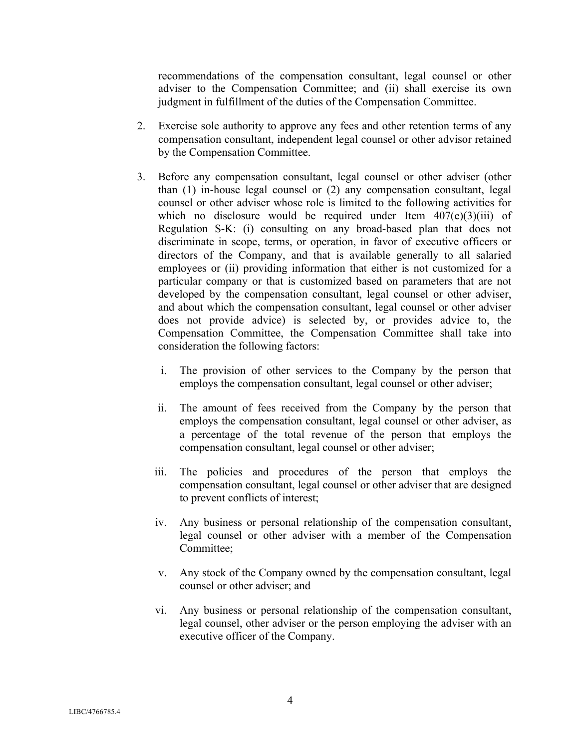recommendations of the compensation consultant, legal counsel or other adviser to the Compensation Committee; and (ii) shall exercise its own judgment in fulfillment of the duties of the Compensation Committee.

- 2. Exercise sole authority to approve any fees and other retention terms of any compensation consultant, independent legal counsel or other advisor retained by the Compensation Committee.
- 3. Before any compensation consultant, legal counsel or other adviser (other than (1) in-house legal counsel or (2) any compensation consultant, legal counsel or other adviser whose role is limited to the following activities for which no disclosure would be required under Item  $407(e)(3)(iii)$  of Regulation S-K: (i) consulting on any broad-based plan that does not discriminate in scope, terms, or operation, in favor of executive officers or directors of the Company, and that is available generally to all salaried employees or (ii) providing information that either is not customized for a particular company or that is customized based on parameters that are not developed by the compensation consultant, legal counsel or other adviser, and about which the compensation consultant, legal counsel or other adviser does not provide advice) is selected by, or provides advice to, the Compensation Committee, the Compensation Committee shall take into consideration the following factors:
	- i. The provision of other services to the Company by the person that employs the compensation consultant, legal counsel or other adviser;
	- ii. The amount of fees received from the Company by the person that employs the compensation consultant, legal counsel or other adviser, as a percentage of the total revenue of the person that employs the compensation consultant, legal counsel or other adviser;
	- iii. The policies and procedures of the person that employs the compensation consultant, legal counsel or other adviser that are designed to prevent conflicts of interest;
	- iv. Any business or personal relationship of the compensation consultant, legal counsel or other adviser with a member of the Compensation Committee;
	- v. Any stock of the Company owned by the compensation consultant, legal counsel or other adviser; and
	- vi. Any business or personal relationship of the compensation consultant, legal counsel, other adviser or the person employing the adviser with an executive officer of the Company.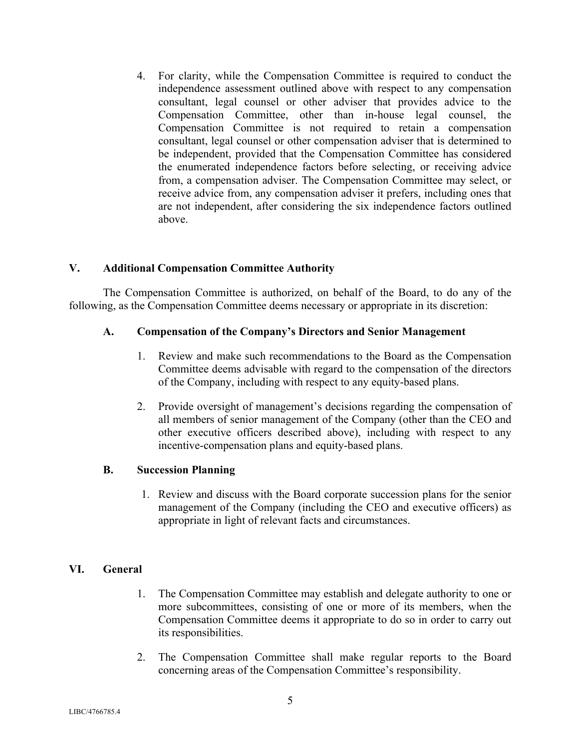4. For clarity, while the Compensation Committee is required to conduct the independence assessment outlined above with respect to any compensation consultant, legal counsel or other adviser that provides advice to the Compensation Committee, other than in-house legal counsel, the Compensation Committee is not required to retain a compensation consultant, legal counsel or other compensation adviser that is determined to be independent, provided that the Compensation Committee has considered the enumerated independence factors before selecting, or receiving advice from, a compensation adviser. The Compensation Committee may select, or receive advice from, any compensation adviser it prefers, including ones that are not independent, after considering the six independence factors outlined above.

### **V. Additional Compensation Committee Authority**

The Compensation Committee is authorized, on behalf of the Board, to do any of the following, as the Compensation Committee deems necessary or appropriate in its discretion:

#### **A. Compensation of the Company's Directors and Senior Management**

- 1. Review and make such recommendations to the Board as the Compensation Committee deems advisable with regard to the compensation of the directors of the Company, including with respect to any equity-based plans.
- 2. Provide oversight of management's decisions regarding the compensation of all members of senior management of the Company (other than the CEO and other executive officers described above), including with respect to any incentive-compensation plans and equity-based plans.

#### **B. Succession Planning**

1. Review and discuss with the Board corporate succession plans for the senior management of the Company (including the CEO and executive officers) as appropriate in light of relevant facts and circumstances.

# **VI. General**

- 1. The Compensation Committee may establish and delegate authority to one or more subcommittees, consisting of one or more of its members, when the Compensation Committee deems it appropriate to do so in order to carry out its responsibilities.
- 2. The Compensation Committee shall make regular reports to the Board concerning areas of the Compensation Committee's responsibility.